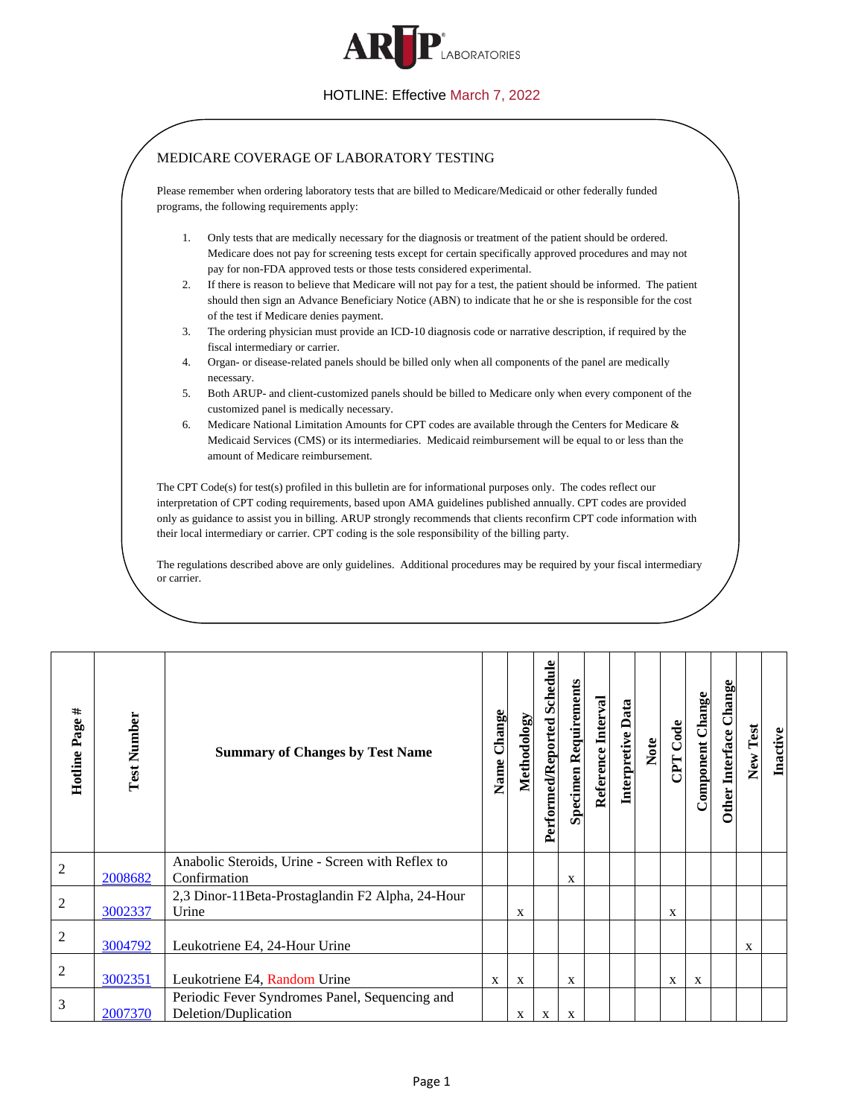

## HOTLINE: Effective March 7, 2022

<span id="page-0-4"></span><span id="page-0-3"></span><span id="page-0-2"></span><span id="page-0-1"></span><span id="page-0-0"></span>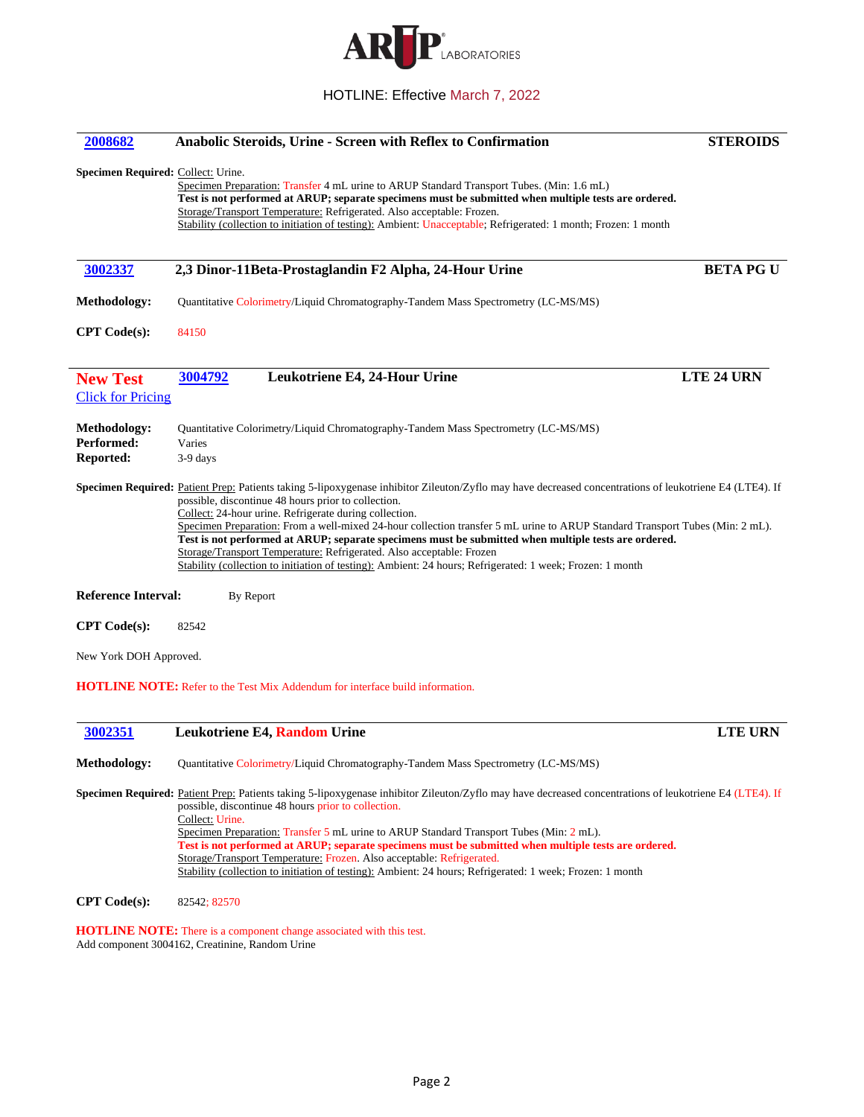

## HOTLINE: Effective March 7, 2022

<span id="page-1-0"></span>

| 2008682                                        | Anabolic Steroids, Urine - Screen with Reflex to Confirmation                                                                                                                                                                                                                                                                                                                                                                                                                                                                                                                                                                                                                                                | <b>STEROIDS</b>   |
|------------------------------------------------|--------------------------------------------------------------------------------------------------------------------------------------------------------------------------------------------------------------------------------------------------------------------------------------------------------------------------------------------------------------------------------------------------------------------------------------------------------------------------------------------------------------------------------------------------------------------------------------------------------------------------------------------------------------------------------------------------------------|-------------------|
| Specimen Required: Collect: Urine.             | Specimen Preparation: Transfer 4 mL urine to ARUP Standard Transport Tubes. (Min: 1.6 mL)<br>Test is not performed at ARUP; separate specimens must be submitted when multiple tests are ordered.<br>Storage/Transport Temperature: Refrigerated. Also acceptable: Frozen.<br>Stability (collection to initiation of testing): Ambient: Unacceptable; Refrigerated: 1 month; Frozen: 1 month                                                                                                                                                                                                                                                                                                                 |                   |
| 3002337                                        | 2,3 Dinor-11Beta-Prostaglandin F2 Alpha, 24-Hour Urine                                                                                                                                                                                                                                                                                                                                                                                                                                                                                                                                                                                                                                                       | <b>BETA PG U</b>  |
| Methodology:                                   | Quantitative Colorimetry/Liquid Chromatography-Tandem Mass Spectrometry (LC-MS/MS)                                                                                                                                                                                                                                                                                                                                                                                                                                                                                                                                                                                                                           |                   |
| <b>CPT</b> Code(s):                            | 84150                                                                                                                                                                                                                                                                                                                                                                                                                                                                                                                                                                                                                                                                                                        |                   |
| <b>New Test</b><br><b>Click for Pricing</b>    | 3004792<br>Leukotriene E4, 24-Hour Urine                                                                                                                                                                                                                                                                                                                                                                                                                                                                                                                                                                                                                                                                     | <b>LTE 24 URN</b> |
| Methodology:<br>Performed:<br><b>Reported:</b> | Quantitative Colorimetry/Liquid Chromatography-Tandem Mass Spectrometry (LC-MS/MS)<br>Varies<br>$3-9$ days                                                                                                                                                                                                                                                                                                                                                                                                                                                                                                                                                                                                   |                   |
|                                                | <b>Specimen Required:</b> Patient Prep: Patients taking 5-lipoxygenase inhibitor Zileuton/Zyflo may have decreased concentrations of leukotriene E4 (LTE4). If<br>possible, discontinue 48 hours prior to collection.<br>Collect: 24-hour urine. Refrigerate during collection.<br>Specimen Preparation: From a well-mixed 24-hour collection transfer 5 mL urine to ARUP Standard Transport Tubes (Min: 2 mL).<br>Test is not performed at ARUP; separate specimens must be submitted when multiple tests are ordered.<br>Storage/Transport Temperature: Refrigerated. Also acceptable: Frozen<br>Stability (collection to initiation of testing): Ambient: 24 hours; Refrigerated: 1 week; Frozen: 1 month |                   |
| <b>Reference Interval:</b>                     | By Report                                                                                                                                                                                                                                                                                                                                                                                                                                                                                                                                                                                                                                                                                                    |                   |
| CPT Code(s):                                   | 82542                                                                                                                                                                                                                                                                                                                                                                                                                                                                                                                                                                                                                                                                                                        |                   |
| New York DOH Approved.                         |                                                                                                                                                                                                                                                                                                                                                                                                                                                                                                                                                                                                                                                                                                              |                   |
|                                                | <b>HOTLINE NOTE:</b> Refer to the Test Mix Addendum for interface build information.                                                                                                                                                                                                                                                                                                                                                                                                                                                                                                                                                                                                                         |                   |
| 3002351                                        | Leukotriene E4, Random Urine                                                                                                                                                                                                                                                                                                                                                                                                                                                                                                                                                                                                                                                                                 | <b>LTE URN</b>    |
| <b>Methodology:</b>                            | Quantitative Colorimetry/Liquid Chromatography-Tandem Mass Spectrometry (LC-MS/MS)                                                                                                                                                                                                                                                                                                                                                                                                                                                                                                                                                                                                                           |                   |
|                                                | Specimen Required: Patient Prep: Patients taking 5-lipoxygenase inhibitor Zileuton/Zyflo may have decreased concentrations of leukotriene E4 (LTE4). If<br>possible, discontinue 48 hours prior to collection.<br>Collect: Urine.                                                                                                                                                                                                                                                                                                                                                                                                                                                                            |                   |
|                                                | Specimen Preparation: Transfer 5 mL urine to ARUP Standard Transport Tubes (Min: 2 mL).<br>Test is not performed at ARUP; separate specimens must be submitted when multiple tests are ordered.                                                                                                                                                                                                                                                                                                                                                                                                                                                                                                              |                   |

<span id="page-1-3"></span>**CPT Code(s):** 82542; 82570

<span id="page-1-2"></span><span id="page-1-1"></span> $\overline{\phantom{a}}$ 

**HOTLINE NOTE:** There is a component change associated with this test. Add component 3004162, Creatinine, Random Urine

Storage/Transport Temperature: Frozen. Also acceptable: Refrigerated.

Stability (collection to initiation of testing): Ambient: 24 hours; Refrigerated: 1 week; Frozen: 1 month